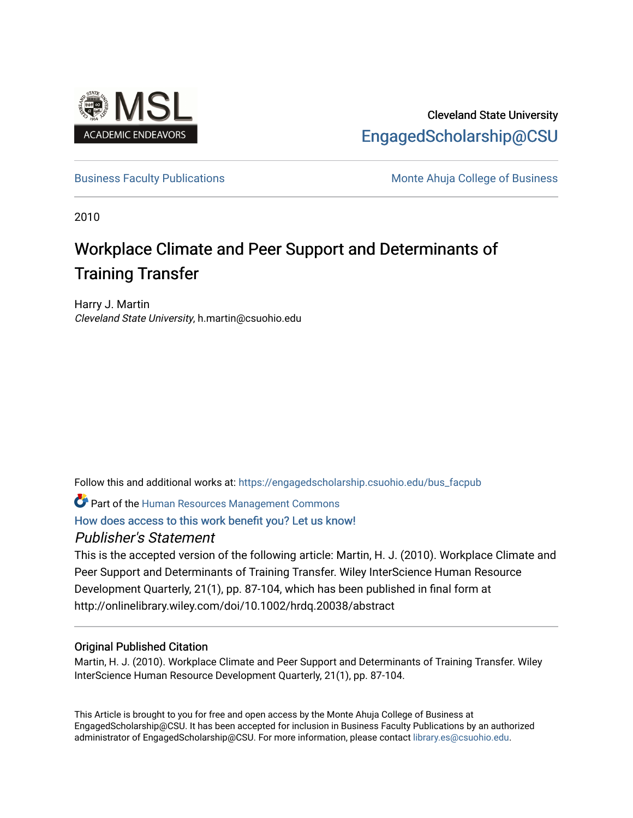

Cleveland State University [EngagedScholarship@CSU](https://engagedscholarship.csuohio.edu/) 

[Business Faculty Publications](https://engagedscholarship.csuohio.edu/bus_facpub) **Monte Ahuja College of Business** Monte Ahuja College of Business

2010

# Workplace Climate and Peer Support and Determinants of **Training Transfer**

Harry J. Martin Cleveland State University, h.martin@csuohio.edu

Follow this and additional works at: [https://engagedscholarship.csuohio.edu/bus\\_facpub](https://engagedscholarship.csuohio.edu/bus_facpub?utm_source=engagedscholarship.csuohio.edu%2Fbus_facpub%2F68&utm_medium=PDF&utm_campaign=PDFCoverPages) 

**Part of the Human Resources Management Commons** 

[How does access to this work benefit you? Let us know!](http://library.csuohio.edu/engaged/)

## Publisher's Statement

This is the accepted version of the following article: Martin, H. J. (2010). Workplace Climate and Peer Support and Determinants of Training Transfer. Wiley InterScience Human Resource Development Quarterly, 21(1), pp. 87-104, which has been published in final form at http://onlinelibrary.wiley.com/doi/10.1002/hrdq.20038/abstract

## Original Published Citation

Martin, H. J. (2010). Workplace Climate and Peer Support and Determinants of Training Transfer. Wiley InterScience Human Resource Development Quarterly, 21(1), pp. 87-104.

This Article is brought to you for free and open access by the Monte Ahuja College of Business at EngagedScholarship@CSU. It has been accepted for inclusion in Business Faculty Publications by an authorized administrator of EngagedScholarship@CSU. For more information, please contact [library.es@csuohio.edu.](mailto:library.es@csuohio.edu)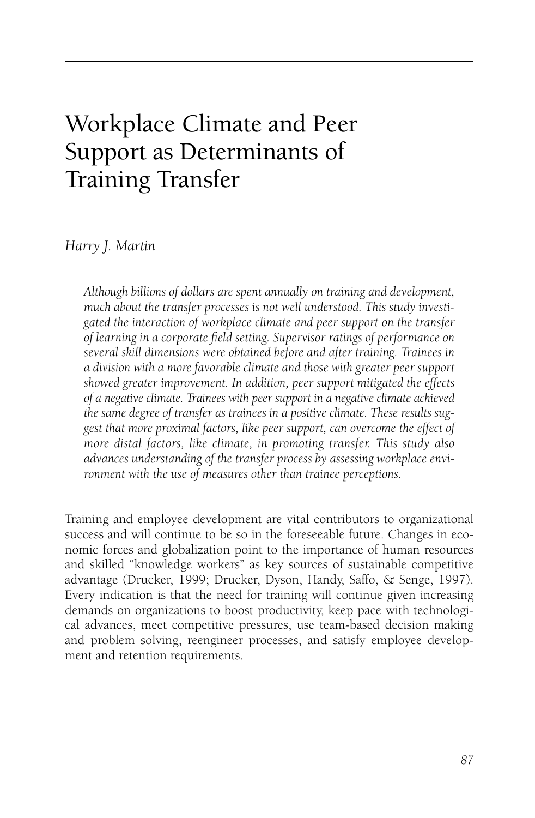# Workplace Climate and Peer Support as Determinants of Training Transfer

*Harry J. Martin* 

*Although billions of dollars are spent annually on training and development, much about the transfer processes is not well understood. This study investigated the interaction of workplace climate and peer support on the transfer of learning in a corporate field setting. Supervisor ratings of performance on several skill dimensions were obtained before and after training. Trainees in a division with a more favorable climate and those with greater peer support showed greater improvement. In addition, peer support mitigated the effects of a negative climate. Trainees with peer support in a negative climate achieved the same degree of transfer as trainees in a positive climate. These results suggest that more proximal factors, like peer support, can overcome the effect of more distal factors, like climate, in promoting transfer. This study also advances understanding of the transfer process by assessing workplace environment with the use of measures other than trainee perceptions.* 

Training and employee development are vital contributors to organizational success and will continue to be so in the foreseeable future. Changes in economic forces and globalization point to the importance of human resources and skilled "knowledge workers" as key sources of sustainable competitive advantage (Drucker, 1999; Drucker, Dyson, Handy, Saffo, & Senge, 1997). Every indication is that the need for training will continue given increasing demands on organizations to boost productivity, keep pace with technological advances, meet competitive pressures, use team-based decision making and problem solving, reengineer processes, and satisfy employee development and retention requirements.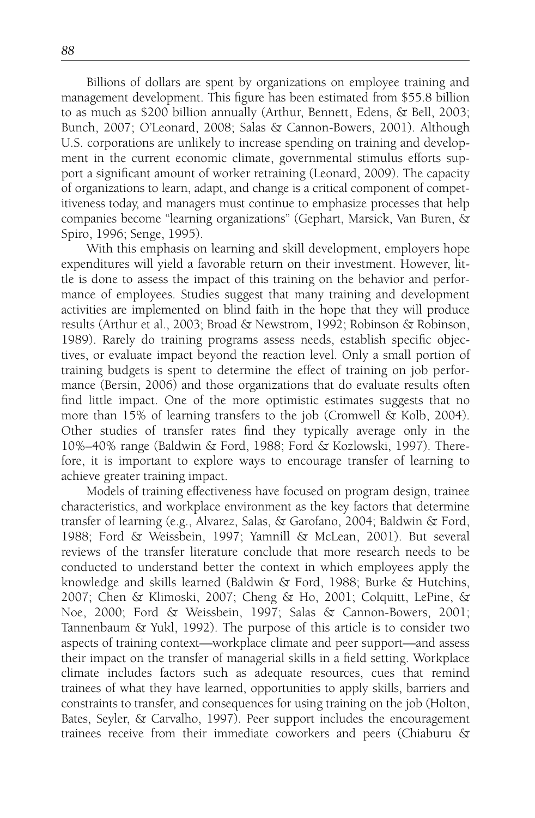Billions of dollars are spent by organizations on employee training and management development. This figure has been estimated from \$55.8 billion to as much as \$200 billion annually (Arthur, Bennett, Edens, & Bell, 2003; Bunch, 2007; O'Leonard, 2008; Salas & Cannon-Bowers, 2001). Although U.S. corporations are unlikely to increase spending on training and development in the current economic climate, governmental stimulus efforts support a significant amount of worker retraining (Leonard, 2009). The capacity of organizations to learn, adapt, and change is a critical component of competitiveness today, and managers must continue to emphasize processes that help companies become "learning organizations" (Gephart, Marsick, Van Buren, & Spiro, 1996; Senge, 1995).

With this emphasis on learning and skill development, employers hope expenditures will yield a favorable return on their investment. However, little is done to assess the impact of this training on the behavior and performance of employees. Studies suggest that many training and development activities are implemented on blind faith in the hope that they will produce results (Arthur et al., 2003; Broad & Newstrom, 1992; Robinson & Robinson, 1989). Rarely do training programs assess needs, establish specific objectives, or evaluate impact beyond the reaction level. Only a small portion of training budgets is spent to determine the effect of training on job performance (Bersin, 2006) and those organizations that do evaluate results often find little impact. One of the more optimistic estimates suggests that no more than 15% of learning transfers to the job (Cromwell & Kolb, 2004). Other studies of transfer rates find they typically average only in the 10%–40% range (Baldwin & Ford, 1988; Ford & Kozlowski, 1997). Therefore, it is important to explore ways to encourage transfer of learning to achieve greater training impact.

Models of training effectiveness have focused on program design, trainee characteristics, and workplace environment as the key factors that determine transfer of learning (e.g., Alvarez, Salas, & Garofano, 2004; Baldwin & Ford, 1988; Ford & Weissbein, 1997; Yamnill & McLean, 2001). But several reviews of the transfer literature conclude that more research needs to be conducted to understand better the context in which employees apply the knowledge and skills learned (Baldwin & Ford, 1988; Burke & Hutchins, 2007; Chen & Klimoski, 2007; Cheng & Ho, 2001; Colquitt, LePine, & Noe, 2000; Ford & Weissbein, 1997; Salas & Cannon-Bowers, 2001; Tannenbaum & Yukl, 1992). The purpose of this article is to consider two aspects of training context—workplace climate and peer support—and assess their impact on the transfer of managerial skills in a field setting. Workplace climate includes factors such as adequate resources, cues that remind trainees of what they have learned, opportunities to apply skills, barriers and constraints to transfer, and consequences for using training on the job (Holton, Bates, Seyler, & Carvalho, 1997). Peer support includes the encouragement trainees receive from their immediate coworkers and peers (Chiaburu &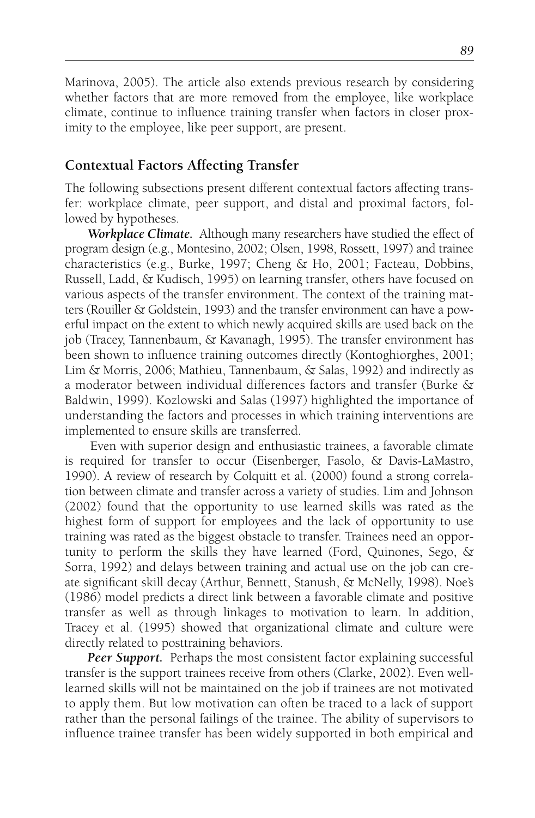Marinova, 2005). The article also extends previous research by considering whether factors that are more removed from the employee, like workplace climate, continue to influence training transfer when factors in closer proximity to the employee, like peer support, are present.

### **Contextual Factors Affecting Transfer**

The following subsections present different contextual factors affecting transfer: workplace climate, peer support, and distal and proximal factors, followed by hypotheses.

*Workplace Climate.* Although many researchers have studied the effect of program design (e.g., Montesino, 2002; Olsen, 1998, Rossett, 1997) and trainee characteristics (e.g., Burke, 1997; Cheng & Ho, 2001; Facteau, Dobbins, Russell, Ladd, & Kudisch, 1995) on learning transfer, others have focused on various aspects of the transfer environment. The context of the training matters (Rouiller & Goldstein, 1993) and the transfer environment can have a powerful impact on the extent to which newly acquired skills are used back on the job (Tracey, Tannenbaum, & Kavanagh, 1995). The transfer environment has been shown to influence training outcomes directly (Kontoghiorghes, 2001; Lim & Morris, 2006; Mathieu, Tannenbaum, & Salas, 1992) and indirectly as a moderator between individual differences factors and transfer (Burke & Baldwin, 1999). Kozlowski and Salas (1997) highlighted the importance of understanding the factors and processes in which training interventions are implemented to ensure skills are transferred.

Even with superior design and enthusiastic trainees, a favorable climate is required for transfer to occur (Eisenberger, Fasolo, & Davis-LaMastro, 1990). A review of research by Colquitt et al. (2000) found a strong correlation between climate and transfer across a variety of studies. Lim and Johnson (2002) found that the opportunity to use learned skills was rated as the highest form of support for employees and the lack of opportunity to use training was rated as the biggest obstacle to transfer. Trainees need an opportunity to perform the skills they have learned (Ford, Quinones, Sego, & Sorra, 1992) and delays between training and actual use on the job can create significant skill decay (Arthur, Bennett, Stanush, & McNelly, 1998). Noe's (1986) model predicts a direct link between a favorable climate and positive transfer as well as through linkages to motivation to learn. In addition, Tracey et al. (1995) showed that organizational climate and culture were directly related to posttraining behaviors.

**Peer Support.** Perhaps the most consistent factor explaining successful transfer is the support trainees receive from others (Clarke, 2002). Even welllearned skills will not be maintained on the job if trainees are not motivated to apply them. But low motivation can often be traced to a lack of support rather than the personal failings of the trainee. The ability of supervisors to influence trainee transfer has been widely supported in both empirical and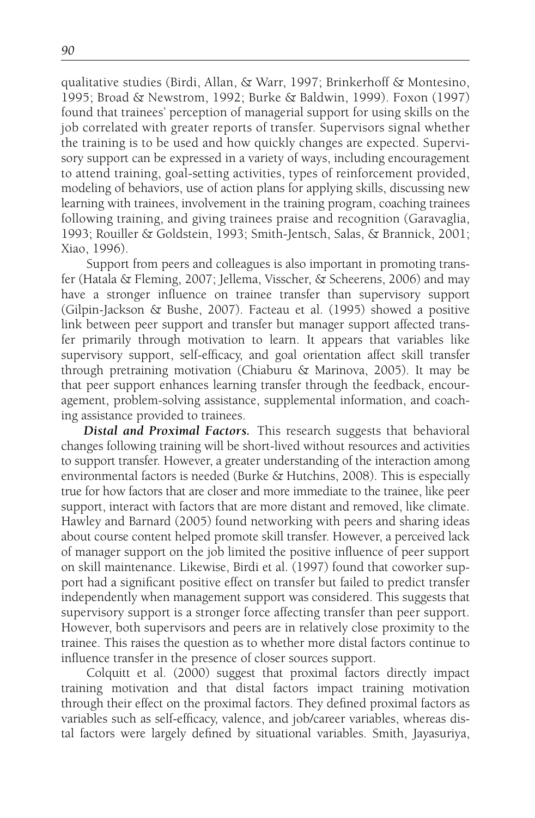qualitative studies (Birdi, Allan, & Warr, 1997; Brinkerhoff & Montesino, 1995; Broad & Newstrom, 1992; Burke & Baldwin, 1999). Foxon (1997) found that trainees' perception of managerial support for using skills on the job correlated with greater reports of transfer. Supervisors signal whether the training is to be used and how quickly changes are expected. Supervisory support can be expressed in a variety of ways, including encouragement to attend training, goal-setting activities, types of reinforcement provided, modeling of behaviors, use of action plans for applying skills, discussing new learning with trainees, involvement in the training program, coaching trainees following training, and giving trainees praise and recognition (Garavaglia, 1993; Rouiller & Goldstein, 1993; Smith-Jentsch, Salas, & Brannick, 2001; Xiao, 1996).

Support from peers and colleagues is also important in promoting transfer (Hatala & Fleming, 2007; Jellema, Visscher, & Scheerens, 2006) and may have a stronger influence on trainee transfer than supervisory support (Gilpin-Jackson & Bushe, 2007). Facteau et al. (1995) showed a positive link between peer support and transfer but manager support affected transfer primarily through motivation to learn. It appears that variables like supervisory support, self-efficacy, and goal orientation affect skill transfer through pretraining motivation (Chiaburu & Marinova, 2005). It may be that peer support enhances learning transfer through the feedback, encouragement, problem-solving assistance, supplemental information, and coaching assistance provided to trainees.

*Distal and Proximal Factors.* This research suggests that behavioral changes following training will be short-lived without resources and activities to support transfer. However, a greater understanding of the interaction among environmental factors is needed (Burke & Hutchins, 2008). This is especially true for how factors that are closer and more immediate to the trainee, like peer support, interact with factors that are more distant and removed, like climate. Hawley and Barnard (2005) found networking with peers and sharing ideas about course content helped promote skill transfer. However, a perceived lack of manager support on the job limited the positive influence of peer support on skill maintenance. Likewise, Birdi et al. (1997) found that coworker support had a significant positive effect on transfer but failed to predict transfer independently when management support was considered. This suggests that supervisory support is a stronger force affecting transfer than peer support. However, both supervisors and peers are in relatively close proximity to the trainee. This raises the question as to whether more distal factors continue to influence transfer in the presence of closer sources support.

Colquitt et al. (2000) suggest that proximal factors directly impact training motivation and that distal factors impact training motivation through their effect on the proximal factors. They defined proximal factors as variables such as self-efficacy, valence, and job/career variables, whereas distal factors were largely defined by situational variables. Smith, Jayasuriya,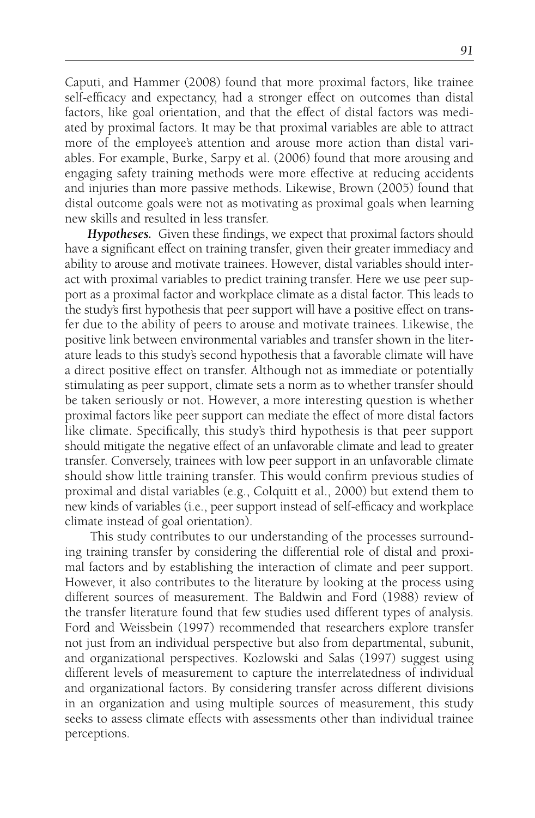Caputi, and Hammer (2008) found that more proximal factors, like trainee self-efficacy and expectancy, had a stronger effect on outcomes than distal factors, like goal orientation, and that the effect of distal factors was mediated by proximal factors. It may be that proximal variables are able to attract more of the employee's attention and arouse more action than distal variables. For example, Burke, Sarpy et al. (2006) found that more arousing and engaging safety training methods were more effective at reducing accidents and injuries than more passive methods. Likewise, Brown (2005) found that distal outcome goals were not as motivating as proximal goals when learning new skills and resulted in less transfer.

*Hypotheses.* Given these findings, we expect that proximal factors should have a significant effect on training transfer, given their greater immediacy and ability to arouse and motivate trainees. However, distal variables should interact with proximal variables to predict training transfer. Here we use peer support as a proximal factor and workplace climate as a distal factor. This leads to the study's first hypothesis that peer support will have a positive effect on transfer due to the ability of peers to arouse and motivate trainees. Likewise, the positive link between environmental variables and transfer shown in the literature leads to this study's second hypothesis that a favorable climate will have a direct positive effect on transfer. Although not as immediate or potentially stimulating as peer support, climate sets a norm as to whether transfer should be taken seriously or not. However, a more interesting question is whether proximal factors like peer support can mediate the effect of more distal factors like climate. Specifically, this study's third hypothesis is that peer support should mitigate the negative effect of an unfavorable climate and lead to greater transfer. Conversely, trainees with low peer support in an unfavorable climate should show little training transfer. This would confirm previous studies of proximal and distal variables (e.g., Colquitt et al., 2000) but extend them to new kinds of variables (i.e., peer support instead of self-efficacy and workplace climate instead of goal orientation).

This study contributes to our understanding of the processes surrounding training transfer by considering the differential role of distal and proximal factors and by establishing the interaction of climate and peer support. However, it also contributes to the literature by looking at the process using different sources of measurement. The Baldwin and Ford (1988) review of the transfer literature found that few studies used different types of analysis. Ford and Weissbein (1997) recommended that researchers explore transfer not just from an individual perspective but also from departmental, subunit, and organizational perspectives. Kozlowski and Salas (1997) suggest using different levels of measurement to capture the interrelatedness of individual and organizational factors. By considering transfer across different divisions in an organization and using multiple sources of measurement, this study seeks to assess climate effects with assessments other than individual trainee perceptions.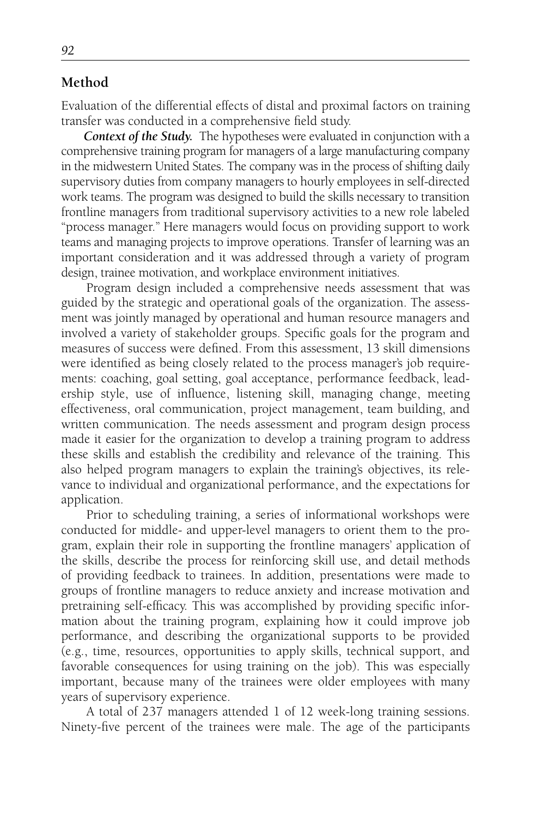### **Method**

Evaluation of the differential effects of distal and proximal factors on training transfer was conducted in a comprehensive field study.

*Context of the Study.* The hypotheses were evaluated in conjunction with a comprehensive training program for managers of a large manufacturing company in the midwestern United States. The company was in the process of shifting daily supervisory duties from company managers to hourly employees in self-directed work teams. The program was designed to build the skills necessary to transition frontline managers from traditional supervisory activities to a new role labeled "process manager." Here managers would focus on providing support to work teams and managing projects to improve operations. Transfer of learning was an important consideration and it was addressed through a variety of program design, trainee motivation, and workplace environment initiatives.

Program design included a comprehensive needs assessment that was guided by the strategic and operational goals of the organization. The assessment was jointly managed by operational and human resource managers and involved a variety of stakeholder groups. Specific goals for the program and measures of success were defined. From this assessment, 13 skill dimensions were identified as being closely related to the process manager's job requirements: coaching, goal setting, goal acceptance, performance feedback, leadership style, use of influence, listening skill, managing change, meeting effectiveness, oral communication, project management, team building, and written communication. The needs assessment and program design process made it easier for the organization to develop a training program to address these skills and establish the credibility and relevance of the training. This also helped program managers to explain the training's objectives, its relevance to individual and organizational performance, and the expectations for application.

Prior to scheduling training, a series of informational workshops were conducted for middle- and upper-level managers to orient them to the program, explain their role in supporting the frontline managers' application of the skills, describe the process for reinforcing skill use, and detail methods of providing feedback to trainees. In addition, presentations were made to groups of frontline managers to reduce anxiety and increase motivation and pretraining self-efficacy. This was accomplished by providing specific information about the training program, explaining how it could improve job performance, and describing the organizational supports to be provided (e.g., time, resources, opportunities to apply skills, technical support, and favorable consequences for using training on the job). This was especially important, because many of the trainees were older employees with many years of supervisory experience.

A total of 237 managers attended 1 of 12 week-long training sessions. Ninety-five percent of the trainees were male. The age of the participants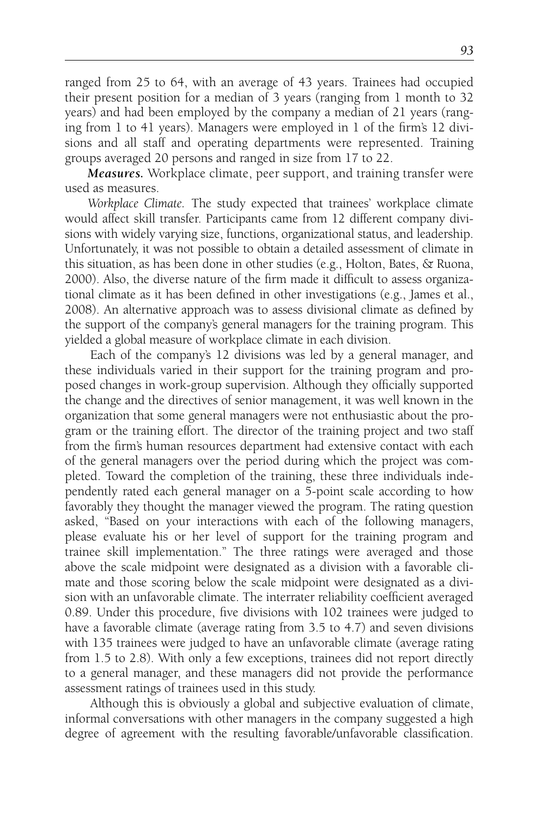ranged from 25 to 64, with an average of 43 years. Trainees had occupied their present position for a median of 3 years (ranging from 1 month to 32 years) and had been employed by the company a median of 21 years (ranging from 1 to 41 years). Managers were employed in 1 of the firm's 12 divisions and all staff and operating departments were represented. Training groups averaged 20 persons and ranged in size from 17 to 22.

*Measures.* Workplace climate, peer support, and training transfer were used as measures.

*Workplace Climate.* The study expected that trainees' workplace climate would affect skill transfer. Participants came from 12 different company divisions with widely varying size, functions, organizational status, and leadership. Unfortunately, it was not possible to obtain a detailed assessment of climate in this situation, as has been done in other studies (e.g., Holton, Bates, & Ruona, 2000). Also, the diverse nature of the firm made it difficult to assess organizational climate as it has been defined in other investigations (e.g., James et al., 2008). An alternative approach was to assess divisional climate as defined by the support of the company's general managers for the training program. This yielded a global measure of workplace climate in each division.

Each of the company's 12 divisions was led by a general manager, and these individuals varied in their support for the training program and proposed changes in work-group supervision. Although they officially supported the change and the directives of senior management, it was well known in the organization that some general managers were not enthusiastic about the program or the training effort. The director of the training project and two staff from the firm's human resources department had extensive contact with each of the general managers over the period during which the project was completed. Toward the completion of the training, these three individuals independently rated each general manager on a 5-point scale according to how favorably they thought the manager viewed the program. The rating question asked, "Based on your interactions with each of the following managers, please evaluate his or her level of support for the training program and trainee skill implementation." The three ratings were averaged and those above the scale midpoint were designated as a division with a favorable climate and those scoring below the scale midpoint were designated as a division with an unfavorable climate. The interrater reliability coefficient averaged 0.89. Under this procedure, five divisions with 102 trainees were judged to have a favorable climate (average rating from 3.5 to 4.7) and seven divisions with 135 trainees were judged to have an unfavorable climate (average rating from 1.5 to 2.8). With only a few exceptions, trainees did not report directly to a general manager, and these managers did not provide the performance assessment ratings of trainees used in this study.

Although this is obviously a global and subjective evaluation of climate, informal conversations with other managers in the company suggested a high degree of agreement with the resulting favorable/unfavorable classification.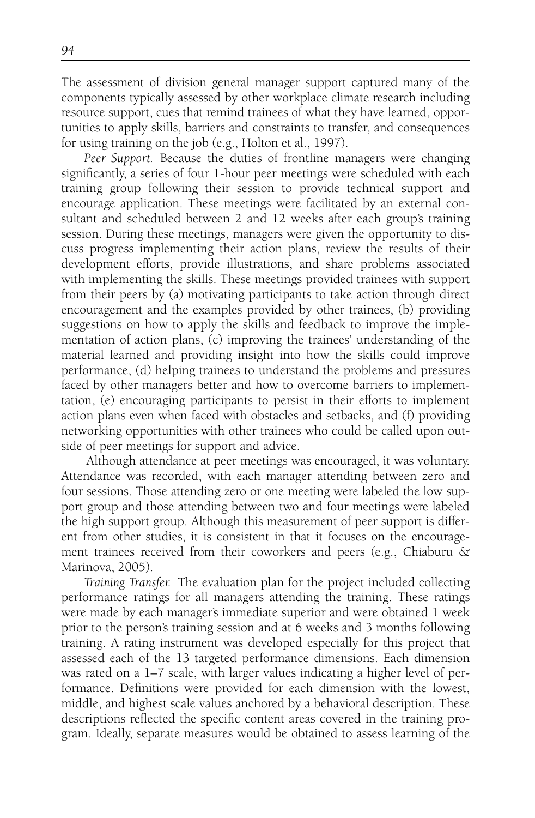The assessment of division general manager support captured many of the components typically assessed by other workplace climate research including resource support, cues that remind trainees of what they have learned, opportunities to apply skills, barriers and constraints to transfer, and consequences for using training on the job (e.g., Holton et al., 1997).

*Peer Support.* Because the duties of frontline managers were changing significantly, a series of four 1-hour peer meetings were scheduled with each training group following their session to provide technical support and encourage application. These meetings were facilitated by an external consultant and scheduled between 2 and 12 weeks after each group's training session. During these meetings, managers were given the opportunity to discuss progress implementing their action plans, review the results of their development efforts, provide illustrations, and share problems associated with implementing the skills. These meetings provided trainees with support from their peers by (a) motivating participants to take action through direct encouragement and the examples provided by other trainees, (b) providing suggestions on how to apply the skills and feedback to improve the implementation of action plans, (c) improving the trainees' understanding of the material learned and providing insight into how the skills could improve performance, (d) helping trainees to understand the problems and pressures faced by other managers better and how to overcome barriers to implementation, (e) encouraging participants to persist in their efforts to implement action plans even when faced with obstacles and setbacks, and (f) providing networking opportunities with other trainees who could be called upon outside of peer meetings for support and advice.

Although attendance at peer meetings was encouraged, it was voluntary. Attendance was recorded, with each manager attending between zero and four sessions. Those attending zero or one meeting were labeled the low support group and those attending between two and four meetings were labeled the high support group. Although this measurement of peer support is different from other studies, it is consistent in that it focuses on the encouragement trainees received from their coworkers and peers (e.g., Chiaburu & Marinova, 2005).

*Training Transfer.* The evaluation plan for the project included collecting performance ratings for all managers attending the training. These ratings were made by each manager's immediate superior and were obtained 1 week prior to the person's training session and at 6 weeks and 3 months following training. A rating instrument was developed especially for this project that assessed each of the 13 targeted performance dimensions. Each dimension was rated on a 1–7 scale, with larger values indicating a higher level of performance. Definitions were provided for each dimension with the lowest, middle, and highest scale values anchored by a behavioral description. These descriptions reflected the specific content areas covered in the training program. Ideally, separate measures would be obtained to assess learning of the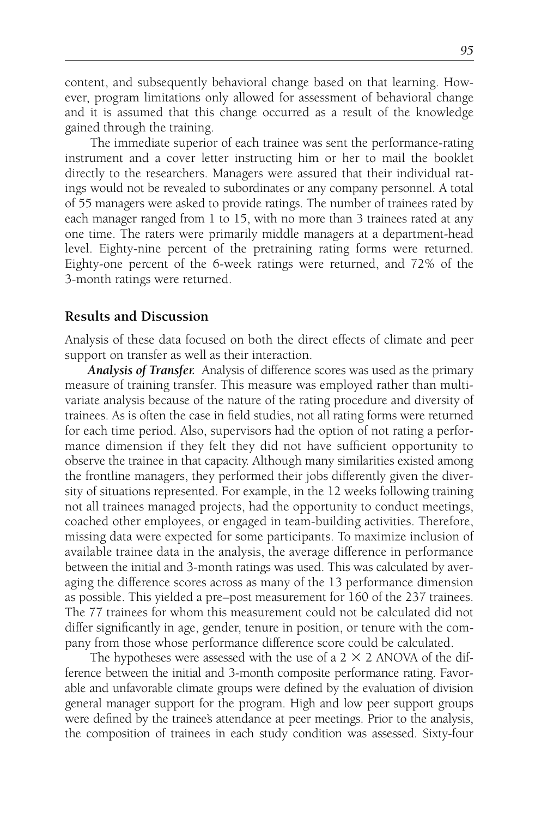content, and subsequently behavioral change based on that learning. However, program limitations only allowed for assessment of behavioral change and it is assumed that this change occurred as a result of the knowledge gained through the training.

The immediate superior of each trainee was sent the performance-rating instrument and a cover letter instructing him or her to mail the booklet directly to the researchers. Managers were assured that their individual ratings would not be revealed to subordinates or any company personnel. A total of 55 managers were asked to provide ratings. The number of trainees rated by each manager ranged from 1 to 15, with no more than 3 trainees rated at any one time. The raters were primarily middle managers at a department-head level. Eighty-nine percent of the pretraining rating forms were returned. Eighty-one percent of the 6-week ratings were returned, and 72% of the 3-month ratings were returned.

#### **Results and Discussion**

Analysis of these data focused on both the direct effects of climate and peer support on transfer as well as their interaction.

*Analysis of Transfer.* Analysis of difference scores was used as the primary measure of training transfer. This measure was employed rather than multivariate analysis because of the nature of the rating procedure and diversity of trainees. As is often the case in field studies, not all rating forms were returned for each time period. Also, supervisors had the option of not rating a performance dimension if they felt they did not have sufficient opportunity to observe the trainee in that capacity. Although many similarities existed among the frontline managers, they performed their jobs differently given the diversity of situations represented. For example, in the 12 weeks following training not all trainees managed projects, had the opportunity to conduct meetings, coached other employees, or engaged in team-building activities. Therefore, missing data were expected for some participants. To maximize inclusion of available trainee data in the analysis, the average difference in performance between the initial and 3-month ratings was used. This was calculated by averaging the difference scores across as many of the 13 performance dimension as possible. This yielded a pre–post measurement for 160 of the 237 trainees. The 77 trainees for whom this measurement could not be calculated did not differ significantly in age, gender, tenure in position, or tenure with the company from those whose performance difference score could be calculated.

The hypotheses were assessed with the use of a  $2 \times 2$  ANOVA of the difference between the initial and 3-month composite performance rating. Favorable and unfavorable climate groups were defined by the evaluation of division general manager support for the program. High and low peer support groups were defined by the trainee's attendance at peer meetings. Prior to the analysis, the composition of trainees in each study condition was assessed. Sixty-four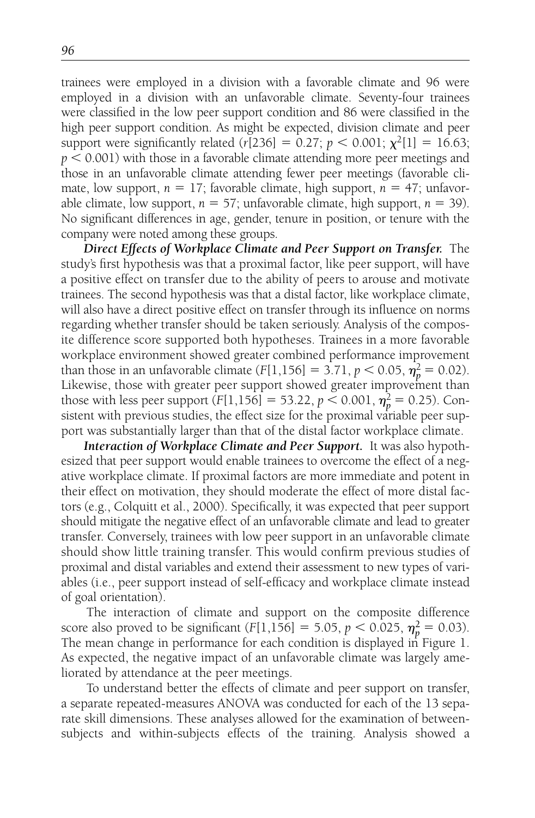trainees were employed in a division with a favorable climate and 96 were employed in a division with an unfavorable climate. Seventy-four trainees were classified in the low peer support condition and 86 were classified in the high peer support condition. As might be expected, division climate and peer support were significantly related  $(r[236] = 0.27; p < 0.001; \chi^2[1] = 16.63;$ *p* < 0.001) with those in a favorable climate attending more peer meetings and those in an unfavorable climate attending fewer peer meetings (favorable climate, low support,  $n = 17$ ; favorable climate, high support,  $n = 47$ ; unfavorable climate, low support,  $n = 57$ ; unfavorable climate, high support,  $n = 39$ ). No significant differences in age, gender, tenure in position, or tenure with the company were noted among these groups.

*Direct Effects of Workplace Climate and Peer Support on Transfer.* The study's first hypothesis was that a proximal factor, like peer support, will have a positive effect on transfer due to the ability of peers to arouse and motivate trainees. The second hypothesis was that a distal factor, like workplace climate, will also have a direct positive effect on transfer through its influence on norms regarding whether transfer should be taken seriously. Analysis of the composite difference score supported both hypotheses. Trainees in a more favorable workplace environment showed greater combined performance improvement than those in an unfavorable climate  $(F[1,156] = 3.71, p < 0.05, \eta_n^2 = 0.02)$ . Likewise, those with greater peer support showed greater improvement than those with less peer support  $(F[1,156] = 53.22, p < 0.001, \eta_n^2 = 0.25)$ . Consistent with previous studies, the effect size for the proximal variable peer support was substantially larger than that of the distal factor workplace climate.

*Interaction of Workplace Climate and Peer Support.* It was also hypothesized that peer support would enable trainees to overcome the effect of a negative workplace climate. If proximal factors are more immediate and potent in their effect on motivation, they should moderate the effect of more distal factors (e.g., Colquitt et al., 2000). Specifically, it was expected that peer support should mitigate the negative effect of an unfavorable climate and lead to greater transfer. Conversely, trainees with low peer support in an unfavorable climate should show little training transfer. This would confirm previous studies of proximal and distal variables and extend their assessment to new types of variables (i.e., peer support instead of self-efficacy and workplace climate instead of goal orientation).

The interaction of climate and support on the composite difference score also proved to be significant  $(F[1,156] = 5.05, p < 0.025, \eta_n^2 = 0.03)$ . The mean change in performance for each condition is displayed in Figure 1. As expected, the negative impact of an unfavorable climate was largely ameliorated by attendance at the peer meetings.

To understand better the effects of climate and peer support on transfer, a separate repeated-measures ANOVA was conducted for each of the 13 separate skill dimensions. These analyses allowed for the examination of betweensubjects and within-subjects effects of the training. Analysis showed a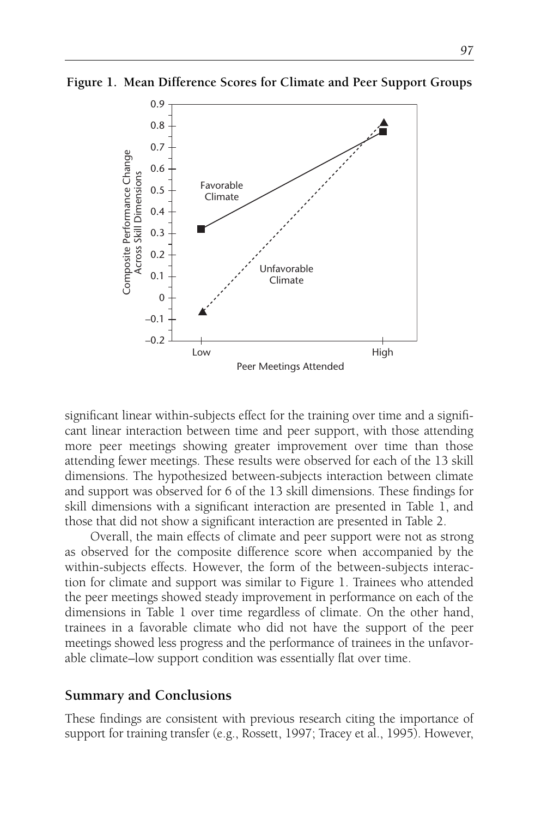**Figure 1. Mean Difference Scores for Climate and Peer Support Groups** 



significant linear within-subjects effect for the training over time and a significant linear interaction between time and peer support, with those attending more peer meetings showing greater improvement over time than those attending fewer meetings. These results were observed for each of the 13 skill dimensions. The hypothesized between-subjects interaction between climate and support was observed for 6 of the 13 skill dimensions. These findings for skill dimensions with a significant interaction are presented in Table 1, and those that did not show a significant interaction are presented in Table 2.

Overall, the main effects of climate and peer support were not as strong as observed for the composite difference score when accompanied by the within-subjects effects. However, the form of the between-subjects interaction for climate and support was similar to Figure 1. Trainees who attended the peer meetings showed steady improvement in performance on each of the dimensions in Table 1 over time regardless of climate. On the other hand, trainees in a favorable climate who did not have the support of the peer meetings showed less progress and the performance of trainees in the unfavorable climate–low support condition was essentially flat over time.

#### **Summary and Conclusions**

These findings are consistent with previous research citing the importance of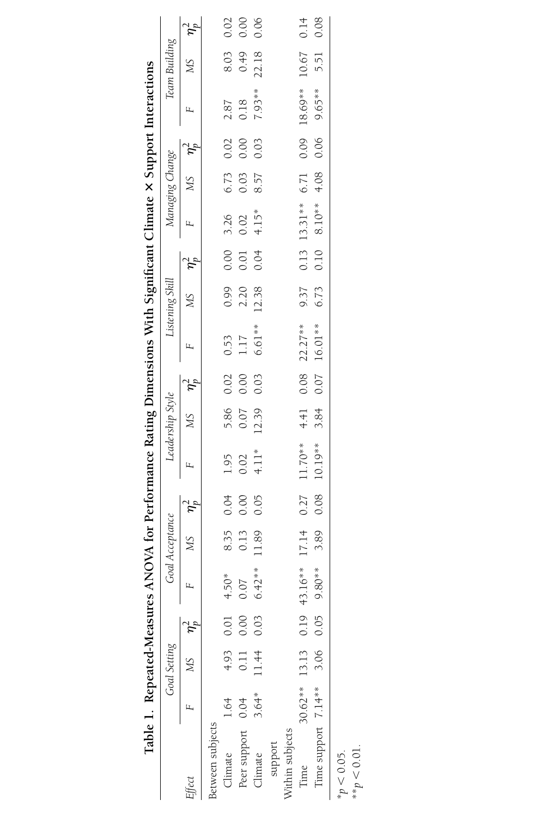|                                        |         |              |      |                                    |                 |      |                         |                  |                | $\mathcal{L}_{\mathcal{L}}$ , which is a constructed in the community of $\mathcal{L}_{\mathcal{L}}$ , which is a community of $\mathcal{L}_{\mathcal{L}}$ , which is a community of $\mathcal{L}_{\mathcal{L}}$ , which is a community of $\mathcal{L}_{\mathcal{L}}$ , which is a community |                  |                  |                         |                 |                |                                                                             |               |                |
|----------------------------------------|---------|--------------|------|------------------------------------|-----------------|------|-------------------------|------------------|----------------|-----------------------------------------------------------------------------------------------------------------------------------------------------------------------------------------------------------------------------------------------------------------------------------------------|------------------|------------------|-------------------------|-----------------|----------------|-----------------------------------------------------------------------------|---------------|----------------|
|                                        |         | Goal Setting |      |                                    | Goal Acceptance |      |                         | Leadership Style |                |                                                                                                                                                                                                                                                                                               | Listening Skill  |                  |                         | Managing Change |                |                                                                             | Team Building |                |
| Ettect                                 | Ц       | XX           |      |                                    | $MS = \eta_n^2$ |      | Ц                       | $MS = \eta_p^2$  |                |                                                                                                                                                                                                                                                                                               | $MS = \eta_n^2$  |                  | $\mu$                   | $MS = \eta_n^2$ |                | $\mu$                                                                       |               | $\eta_p^2$     |
| Between subjects                       |         |              |      |                                    |                 |      |                         |                  |                |                                                                                                                                                                                                                                                                                               |                  |                  |                         |                 |                |                                                                             |               |                |
| Climate                                | 1.64    |              |      | $4.93$ 0.01 $4.50*$                | 8.35            |      |                         |                  |                |                                                                                                                                                                                                                                                                                               |                  |                  |                         |                 |                |                                                                             |               |                |
| Peer support 0.04                      |         | 0.11         | 0.00 | 0.07                               | 0.13            | 0.04 | $1.95$<br>0.02<br>4.11* | 5.86<br>0.07     | $0.02$<br>0.00 | $0.53$<br>1.17                                                                                                                                                                                                                                                                                | $0.99$<br>$2.20$ | $0.00$<br>$0.01$ | $3.26$<br>0.02<br>4.15* | $6.73$<br>0.03  | $0.02$<br>0.00 | $\begin{array}{c}\n 2.87 \\ \hline\n 0.18 \\ \hline\n 7.93**\n \end{array}$ | 8.03<br>0.49  |                |
| Climate                                | $3.64*$ | 11.44        | 0.03 | $6.42**$                           | 11.89           | 0.05 |                         | 12.39            | 0.03           | $6.61**$                                                                                                                                                                                                                                                                                      | 12.38            | 0.04             |                         | 8.57            | 0.03           |                                                                             | 22.18         |                |
| support                                |         |              |      |                                    |                 |      |                         |                  |                |                                                                                                                                                                                                                                                                                               |                  |                  |                         |                 |                |                                                                             |               |                |
| Within subjects                        |         |              |      |                                    |                 |      |                         |                  |                |                                                                                                                                                                                                                                                                                               |                  |                  |                         |                 |                |                                                                             |               |                |
| Time                                   |         |              |      | $30.62**$ 13.13 0.19 43.16** 17.14 |                 |      | $0.27$ 11.70**          | 4.41             | 0.08           | $22.27**$                                                                                                                                                                                                                                                                                     | 9.37             |                  | $0.13$ 13.31** $6.71$   |                 |                | $0.09$ 18.69** 10.67<br>0.06 9.65** 5.51                                    |               |                |
| Time support $7.14**$ 3.06 0.05 9.80** |         |              |      |                                    | 3.89            |      | $0.08$ 10.19**          | 3.84             |                | $0.07$ 16.01**                                                                                                                                                                                                                                                                                | 6.73             |                  | $0.10$ $8.10**$ 4.08    |                 |                |                                                                             |               | $0.14$<br>0.08 |
| p > 0.05                               |         |              |      |                                    |                 |      |                         |                  |                |                                                                                                                                                                                                                                                                                               |                  |                  |                         |                 |                |                                                                             |               |                |

**Table 1. Repeated-Measures ANOVA for Performance Rating Dimensions With Significant Climate**  Table 1. Repeated-Measures ANOVA for Performance Rating Dimensions With Significant Climate × Support Interactions **Support Interactions** 

 $\frac{p}{*}$   $\frac{p}{p}$  < 0.01.  $*^*p < 0.01$ .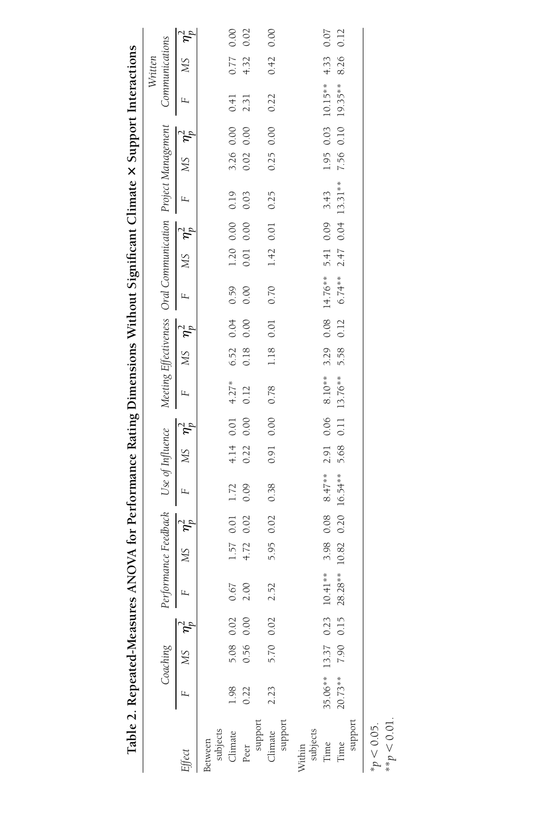|                               |      |          |                                           | Table 2. Repeated-Measures ANOVA for Performance Rating Dimensions Without Significant Climate x Support Interactions |      |               |                   |           |      |                                                 |      |        |                               |             |                             |           |      |                               |               |      |
|-------------------------------|------|----------|-------------------------------------------|-----------------------------------------------------------------------------------------------------------------------|------|---------------|-------------------|-----------|------|-------------------------------------------------|------|--------|-------------------------------|-------------|-----------------------------|-----------|------|-------------------------------|---------------|------|
|                               |      | Coaching |                                           | Performance Feedback Use of Influence Meeting Effectiveness Oral Communication Project Management                     |      |               |                   |           |      |                                                 |      |        |                               |             |                             |           |      | Communications                | Written       |      |
|                               | щ    | MS       | $\eta_{\rm r}^{\rm \scriptscriptstyle L}$ |                                                                                                                       |      | $MS \eta_p^2$ | $F$ MS $\eta_p^2$ |           |      | F MS $\eta_p^2$ F MS $\eta_p^2$ F MS $\eta_p^2$ |      |        |                               |             |                             |           |      | F                             | $MS \eta_p^2$ |      |
| subjects<br>Between           |      |          |                                           |                                                                                                                       |      |               |                   |           |      |                                                 |      |        |                               |             |                             |           |      |                               |               |      |
| <b>Climate</b>                | 1.98 |          | 5.08 0.02                                 | 0.67                                                                                                                  |      | 1.57 0.01     | 1.72              | 4.14 0.01 |      | $4.27*$                                         | 6.52 | 0.04   | 0.59                          | 1.20 0.00   | 0.19                        | 3.26 0.00 |      | 0.41                          | 0.77 0.00     |      |
| Peer                          | 0.22 |          | 0.56 0.00                                 | 2.00                                                                                                                  | 4.72 | 0.02          | 0.09              | 0.22      | 0.00 | 0.12                                            | 0.18 | 0.00   | 0.00                          | $0.01$ 0.00 | 0.03                        | 0.02      | 0.00 | 2.31                          | 4.32          | 0.02 |
| support<br>support<br>Climate | 2.23 | 5.70     | 0.02                                      | 2.52                                                                                                                  | 5.95 | 0.02          | 0.38              | 0.91      | 0.00 | 0.78                                            | 1.18 | 0.01   | 0.70                          | 1.42 0.01   | 0.25                        | 0.25      | 0.00 | 0.22                          | 0.42          | 0.00 |
| subjects<br>Time<br>Within    |      |          |                                           | 35.06** 13.37 0.23 10.41** 3.98                                                                                       |      | 0.08          |                   |           |      | $8.47**$ 2.91 0.06 8.10** 3.29                  |      |        | $0.08$ 14.76** 5.41 0.09 3.43 |             |                             |           |      | 1.95 0.03 10.15** $4.33$ 0.07 |               |      |
| support<br>Time               |      |          |                                           | 20.73** 7.90 0.15 28.28** 10.82 0.20 16.54** 5.68                                                                     |      |               |                   |           |      | $0.11$ 13.76** 5.58                             |      | $0.12$ |                               |             | $6.74***$ 2.47 0.04 13.31** |           |      | 7.56 0.10 19.35**             | 8.26          | 0.12 |
| $*_{p} < 0.05$ .              |      |          |                                           |                                                                                                                       |      |               |                   |           |      |                                                 |      |        |                               |             |                             |           |      |                               |               |      |

 $*_{p} < 0.05.$ <br>\* $*_{p} < 0.01.$ 

 $*^{*}p < 0.01$ .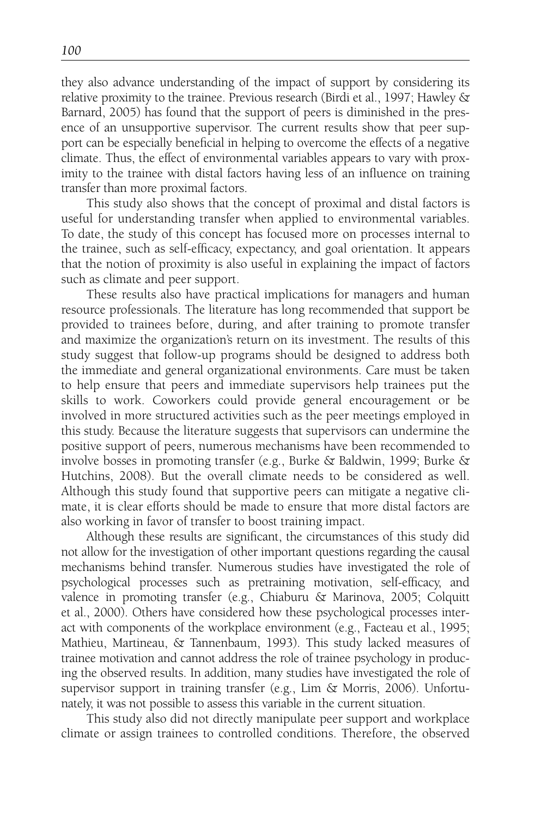they also advance understanding of the impact of support by considering its relative proximity to the trainee. Previous research (Birdi et al., 1997; Hawley & Barnard, 2005) has found that the support of peers is diminished in the presence of an unsupportive supervisor. The current results show that peer support can be especially beneficial in helping to overcome the effects of a negative climate. Thus, the effect of environmental variables appears to vary with proximity to the trainee with distal factors having less of an influence on training transfer than more proximal factors.

This study also shows that the concept of proximal and distal factors is useful for understanding transfer when applied to environmental variables. To date, the study of this concept has focused more on processes internal to the trainee, such as self-efficacy, expectancy, and goal orientation. It appears that the notion of proximity is also useful in explaining the impact of factors such as climate and peer support.

These results also have practical implications for managers and human resource professionals. The literature has long recommended that support be provided to trainees before, during, and after training to promote transfer and maximize the organization's return on its investment. The results of this study suggest that follow-up programs should be designed to address both the immediate and general organizational environments. Care must be taken to help ensure that peers and immediate supervisors help trainees put the skills to work. Coworkers could provide general encouragement or be involved in more structured activities such as the peer meetings employed in this study. Because the literature suggests that supervisors can undermine the positive support of peers, numerous mechanisms have been recommended to involve bosses in promoting transfer (e.g., Burke & Baldwin, 1999; Burke & Hutchins, 2008). But the overall climate needs to be considered as well. Although this study found that supportive peers can mitigate a negative climate, it is clear efforts should be made to ensure that more distal factors are also working in favor of transfer to boost training impact.

Although these results are significant, the circumstances of this study did not allow for the investigation of other important questions regarding the causal mechanisms behind transfer. Numerous studies have investigated the role of psychological processes such as pretraining motivation, self-efficacy, and valence in promoting transfer (e.g., Chiaburu & Marinova, 2005; Colquitt et al., 2000). Others have considered how these psychological processes interact with components of the workplace environment (e.g., Facteau et al., 1995; Mathieu, Martineau, & Tannenbaum, 1993). This study lacked measures of trainee motivation and cannot address the role of trainee psychology in producing the observed results. In addition, many studies have investigated the role of supervisor support in training transfer (e.g., Lim & Morris, 2006). Unfortunately, it was not possible to assess this variable in the current situation.

This study also did not directly manipulate peer support and workplace climate or assign trainees to controlled conditions. Therefore, the observed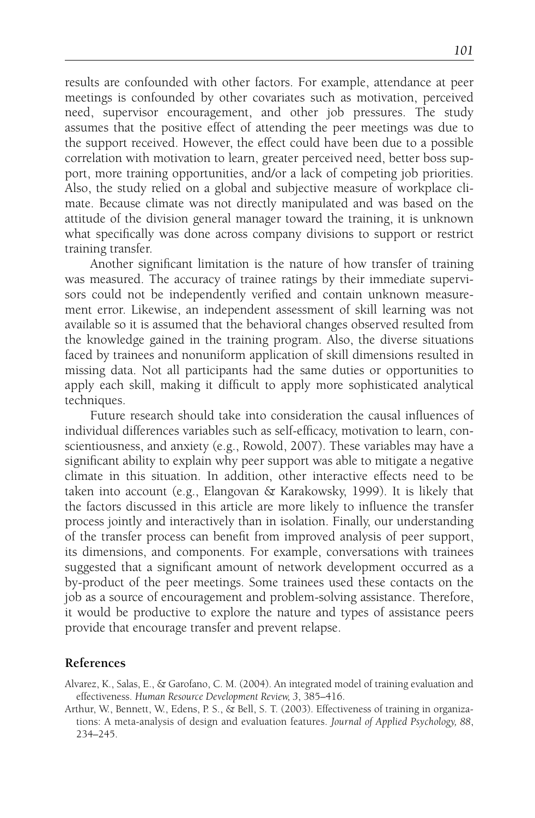results are confounded with other factors. For example, attendance at peer meetings is confounded by other covariates such as motivation, perceived need, supervisor encouragement, and other job pressures. The study assumes that the positive effect of attending the peer meetings was due to the support received. However, the effect could have been due to a possible correlation with motivation to learn, greater perceived need, better boss support, more training opportunities, and/or a lack of competing job priorities. Also, the study relied on a global and subjective measure of workplace climate. Because climate was not directly manipulated and was based on the attitude of the division general manager toward the training, it is unknown what specifically was done across company divisions to support or restrict training transfer.

Another significant limitation is the nature of how transfer of training was measured. The accuracy of trainee ratings by their immediate supervisors could not be independently verified and contain unknown measurement error. Likewise, an independent assessment of skill learning was not available so it is assumed that the behavioral changes observed resulted from the knowledge gained in the training program. Also, the diverse situations faced by trainees and nonuniform application of skill dimensions resulted in missing data. Not all participants had the same duties or opportunities to apply each skill, making it difficult to apply more sophisticated analytical techniques.

Future research should take into consideration the causal influences of individual differences variables such as self-efficacy, motivation to learn, conscientiousness, and anxiety (e.g., Rowold, 2007). These variables may have a significant ability to explain why peer support was able to mitigate a negative climate in this situation. In addition, other interactive effects need to be taken into account (e.g., Elangovan & Karakowsky, 1999). It is likely that the factors discussed in this article are more likely to influence the transfer process jointly and interactively than in isolation. Finally, our understanding of the transfer process can benefit from improved analysis of peer support, its dimensions, and components. For example, conversations with trainees suggested that a significant amount of network development occurred as a by-product of the peer meetings. Some trainees used these contacts on the job as a source of encouragement and problem-solving assistance. Therefore, it would be productive to explore the nature and types of assistance peers provide that encourage transfer and prevent relapse.

#### **References**

Alvarez, K., Salas, E., & Garofano, C. M. (2004). An integrated model of training evaluation and effectiveness. *Human Resource Development Review, 3*, 385–416.

Arthur, W., Bennett, W., Edens, P. S., & Bell, S. T. (2003). Effectiveness of training in organizations: A meta-analysis of design and evaluation features. *Journal of Applied Psychology, 88*, 234–245.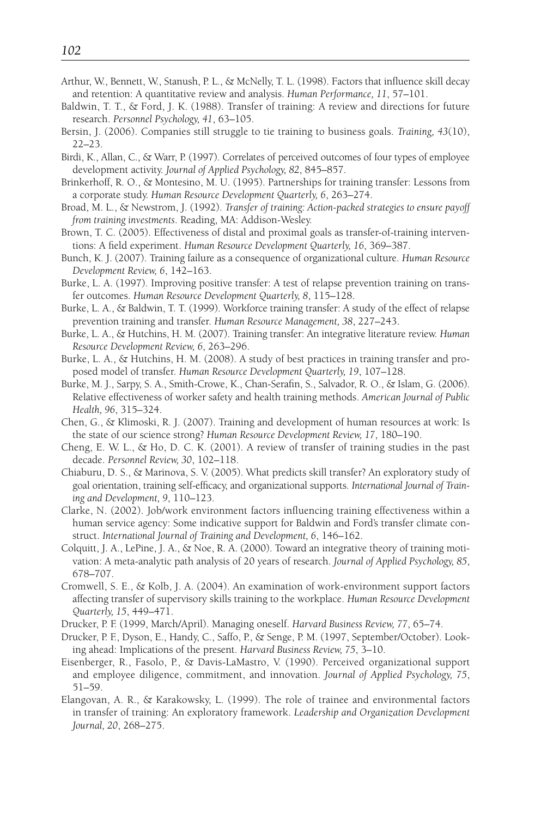- Arthur, W., Bennett, W., Stanush, P. L., & McNelly, T. L. (1998). Factors that influence skill decay and retention: A quantitative review and analysis. *Human Performance, 11*, 57–101.
- Baldwin, T. T., & Ford, J. K. (1988). Transfer of training: A review and directions for future research. *Personnel Psychology, 41*, 63–105.
- Bersin, J. (2006). Companies still struggle to tie training to business goals. *Training, 43*(10), 22–23.
- Birdi, K., Allan, C., & Warr, P. (1997). Correlates of perceived outcomes of four types of employee development activity. *Journal of Applied Psychology, 82*, 845–857.
- Brinkerhoff, R. O., & Montesino, M. U. (1995). Partnerships for training transfer: Lessons from a corporate study. *Human Resource Development Quarterly, 6*, 263–274.
- Broad, M. L., & Newstrom, J. (1992). *Transfer of training: Action-packed strategies to ensure payoff from training investments*. Reading, MA: Addison-Wesley.
- Brown, T. C. (2005). Effectiveness of distal and proximal goals as transfer-of-training interventions: A field experiment. *Human Resource Development Quarterly, 16*, 369–387.
- Bunch, K. J. (2007). Training failure as a consequence of organizational culture. *Human Resource Development Review, 6*, 142–163.
- Burke, L. A. (1997). Improving positive transfer: A test of relapse prevention training on transfer outcomes. *Human Resource Development Quarterly, 8*, 115–128.
- Burke, L. A., & Baldwin, T. T. (1999). Workforce training transfer: A study of the effect of relapse prevention training and transfer. *Human Resource Management, 38*, 227–243.
- Burke, L. A., & Hutchins, H. M. (2007). Training transfer: An integrative literature review. *Human Resource Development Review, 6*, 263–296.
- Burke, L. A., & Hutchins, H. M. (2008). A study of best practices in training transfer and proposed model of transfer. *Human Resource Development Quarterly, 19*, 107–128.
- Burke, M. J., Sarpy, S. A., Smith-Crowe, K., Chan-Serafin, S., Salvador, R. O., & Islam, G. (2006). Relative effectiveness of worker safety and health training methods. *American Journal of Public Health, 96*, 315–324.
- Chen, G., & Klimoski, R. J. (2007). Training and development of human resources at work: Is the state of our science strong? *Human Resource Development Review, 17*, 180–190.
- Cheng, E. W. L., & Ho, D. C. K. (2001). A review of transfer of training studies in the past decade. *Personnel Review, 30*, 102–118.
- Chiaburu, D. S., & Marinova, S. V. (2005). What predicts skill transfer? An exploratory study of goal orientation, training self-efficacy, and organizational supports. *International Journal of Training and Development, 9*, 110–123.
- Clarke, N. (2002). Job/work environment factors influencing training effectiveness within a human service agency: Some indicative support for Baldwin and Ford's transfer climate construct. *International Journal of Training and Development, 6*, 146–162.
- Colquitt, J. A., LePine, J. A., & Noe, R. A. (2000). Toward an integrative theory of training motivation: A meta-analytic path analysis of 20 years of research. *Journal of Applied Psychology, 85*, 678–707.
- Cromwell, S. E., & Kolb, J. A. (2004). An examination of work-environment support factors affecting transfer of supervisory skills training to the workplace. *Human Resource Development Quarterly, 15*, 449–471.
- Drucker, P. F. (1999, March/April). Managing oneself. *Harvard Business Review, 77*, 65–74.
- Drucker, P. F., Dyson, E., Handy, C., Saffo, P., & Senge, P. M. (1997, September/October). Looking ahead: Implications of the present. *Harvard Business Review, 75*, 3–10.
- Eisenberger, R., Fasolo, P., & Davis-LaMastro, V. (1990). Perceived organizational support and employee diligence, commitment, and innovation. *Journal of Applied Psychology, 75*, 51–59.
- Elangovan, A. R., & Karakowsky, L. (1999). The role of trainee and environmental factors in transfer of training: An exploratory framework. *Leadership and Organization Development Journal, 20*, 268–275.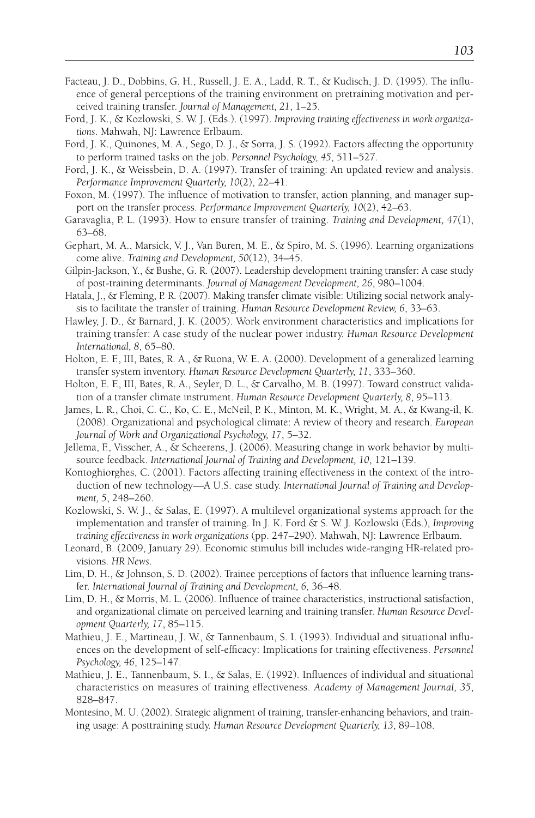- Facteau, J. D., Dobbins, G. H., Russell, J. E. A., Ladd, R. T., & Kudisch, J. D. (1995). The influence of general perceptions of the training environment on pretraining motivation and perceived training transfer. *Journal of Management, 21*, 1–25.
- Ford, J. K., & Kozlowski, S. W. J. (Eds.). (1997). *Improving training effectiveness in work organizations*. Mahwah, NJ: Lawrence Erlbaum.
- Ford, J. K., Quinones, M. A., Sego, D. J., & Sorra, J. S. (1992). Factors affecting the opportunity to perform trained tasks on the job. *Personnel Psychology, 45*, 511–527.
- Ford, J. K., & Weissbein, D. A. (1997). Transfer of training: An updated review and analysis. *Performance Improvement Quarterly, 10*(2), 22–41.
- Foxon, M. (1997). The influence of motivation to transfer, action planning, and manager support on the transfer process. *Performance Improvement Quarterly, 10*(2), 42–63.
- Garavaglia, P. L. (1993). How to ensure transfer of training. *Training and Development, 47*(1), 63–68.
- Gephart, M. A., Marsick, V. J., Van Buren, M. E., & Spiro, M. S. (1996). Learning organizations come alive. *Training and Development, 50*(12), 34–45.
- Gilpin-Jackson, Y., & Bushe, G. R. (2007). Leadership development training transfer: A case study of post-training determinants. *Journal of Management Development, 26*, 980–1004.
- Hatala, J., & Fleming, P. R. (2007). Making transfer climate visible: Utilizing social network analysis to facilitate the transfer of training. *Human Resource Development Review, 6*, 33–63.
- Hawley, J. D., & Barnard, J. K. (2005). Work environment characteristics and implications for training transfer: A case study of the nuclear power industry. *Human Resource Development International, 8*, 65–80.
- Holton, E. F., III, Bates, R. A., & Ruona, W. E. A. (2000). Development of a generalized learning transfer system inventory. *Human Resource Development Quarterly, 11*, 333–360.
- Holton, E. F., III, Bates, R. A., Seyler, D. L., & Carvalho, M. B. (1997). Toward construct validation of a transfer climate instrument. *Human Resource Development Quarterly, 8*, 95–113.
- James, L. R., Choi, C. C., Ko, C. E., McNeil, P. K., Minton, M. K., Wright, M. A., & Kwang-il, K. (2008). Organizational and psychological climate: A review of theory and research. *European Journal of Work and Organizational Psychology, 17*, 5–32.
- Jellema, F., Visscher, A., & Scheerens, J. (2006). Measuring change in work behavior by multisource feedback. *International Journal of Training and Development, 10*, 121–139.
- Kontoghiorghes, C. (2001). Factors affecting training effectiveness in the context of the introduction of new technology—A U.S. case study. *International Journal of Training and Development, 5*, 248–260.
- Kozlowski, S. W. J., & Salas, E. (1997). A multilevel organizational systems approach for the implementation and transfer of training. In J. K. Ford & S. W. J. Kozlowski (Eds.), *Improving training effectiveness in work organizations* (pp. 247–290). Mahwah, NJ: Lawrence Erlbaum.
- Leonard, B. (2009, January 29). Economic stimulus bill includes wide-ranging HR-related provisions. *HR News*.
- Lim, D. H., & Johnson, S. D. (2002). Trainee perceptions of factors that influence learning transfer. *International Journal of Training and Development, 6*, 36–48.
- Lim, D. H., & Morris, M. L. (2006). Influence of trainee characteristics, instructional satisfaction, and organizational climate on perceived learning and training transfer. *Human Resource Development Quarterly, 17*, 85–115.
- Mathieu, J. E., Martineau, J. W., & Tannenbaum, S. I. (1993). Individual and situational influences on the development of self-efficacy: Implications for training effectiveness. *Personnel Psychology, 46*, 125–147.
- Mathieu, J. E., Tannenbaum, S. I., & Salas, E. (1992). Influences of individual and situational characteristics on measures of training effectiveness. *Academy of Management Journal, 35*, 828–847.
- Montesino, M. U. (2002). Strategic alignment of training, transfer-enhancing behaviors, and training usage: A posttraining study. *Human Resource Development Quarterly, 13*, 89–108.